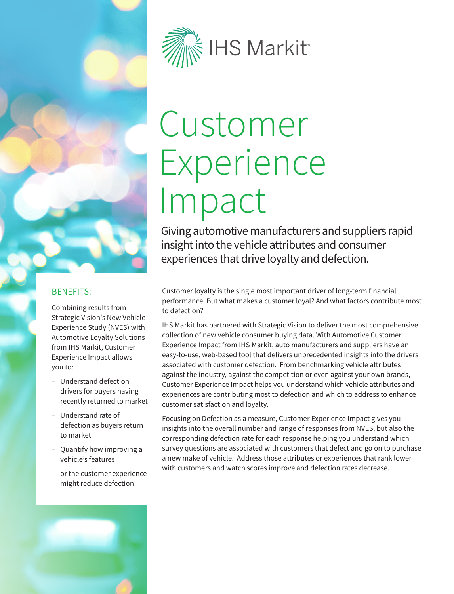

# Customer Experience Impact

Giving automotive manufacturers and suppliers rapid insight into the vehicle attributes and consumer experiences that drive loyalty and defection.

### BENEFITS:

Combining results from Strategic Vision's New Vehicle Experience Study (NVES) with Automotive Loyalty Solutions from IHS Markit, Customer Experience Impact allows you to:

- ‒ Understand defection drivers for buyers having recently returned to market
- ‒ Understand rate of defection as buyers return to market
- ‒ Quantify how improving a vehicle's features
- ‒ or the customer experience might reduce defection

Customer loyalty is the single most important driver of long-term financial performance. But what makes a customer loyal? And what factors contribute most to defection?

IHS Markit has partnered with Strategic Vision to deliver the most comprehensive collection of new vehicle consumer buying data. With Automotive Customer Experience Impact from IHS Markit, auto manufacturers and suppliers have an easy-to-use, web-based tool that delivers unprecedented insights into the drivers associated with customer defection. From benchmarking vehicle attributes against the industry, against the competition or even against your own brands, Customer Experience Impact helps you understand which vehicle attributes and experiences are contributing most to defection and which to address to enhance customer satisfaction and loyalty.

Focusing on Defection as a measure, Customer Experience Impact gives you insights into the overall number and range of responses from NVES, but also the corresponding defection rate for each response helping you understand which survey questions are associated with customers that defect and go on to purchase a new make of vehicle. Address those attributes or experiences that rank lower with customers and watch scores improve and defection rates decrease.